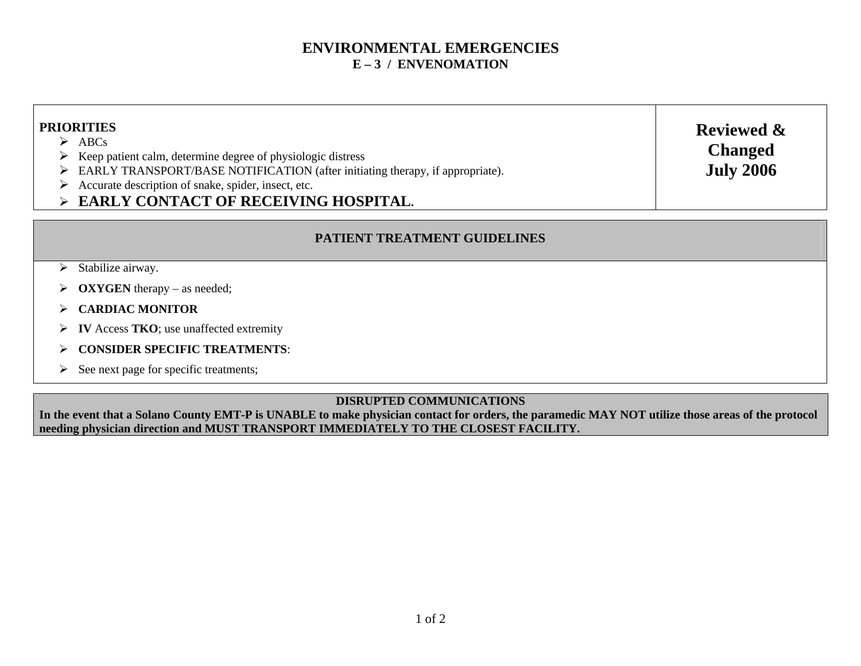## **ENVIRONMENTAL EMERGENCIES E – 3 / ENVENOMATION**

| <b>PRIORITIES</b><br>$\triangleright$ ABCs<br>$\triangleright$ Keep patient calm, determine degree of physiologic distress<br>> EARLY TRANSPORT/BASE NOTIFICATION (after initiating therapy, if appropriate).<br>$\triangleright$ Accurate description of snake, spider, insect, etc.<br>$\triangleright$ EARLY CONTACT OF RECEIVING HOSPITAL. | <b>Reviewed &amp;</b><br><b>Changed</b><br><b>July 2006</b> |  |
|------------------------------------------------------------------------------------------------------------------------------------------------------------------------------------------------------------------------------------------------------------------------------------------------------------------------------------------------|-------------------------------------------------------------|--|
| <b>PATIENT TREATMENT GUIDELINES</b>                                                                                                                                                                                                                                                                                                            |                                                             |  |

- $\triangleright$  Stabilize airway.
- $\triangleright$  **OXYGEN** therapy as needed;
- ÿ **CARDIAC MONITOR**
- ÿ **IV** Access **TKO**; use unaffected extremity
- ÿ **CONSIDER SPECIFIC TREATMENTS**:
- $\triangleright$  See next page for specific treatments;

#### **DISRUPTED COMMUNICATIONS**

**In the event that a Solano County EMT-P is UNABLE to make physician contact for orders, the paramedic MAY NOT utilize those areas of the protocol needing physician direction and MUST TRANSPORT IMMEDIATELY TO THE CLOSEST FACILITY.**